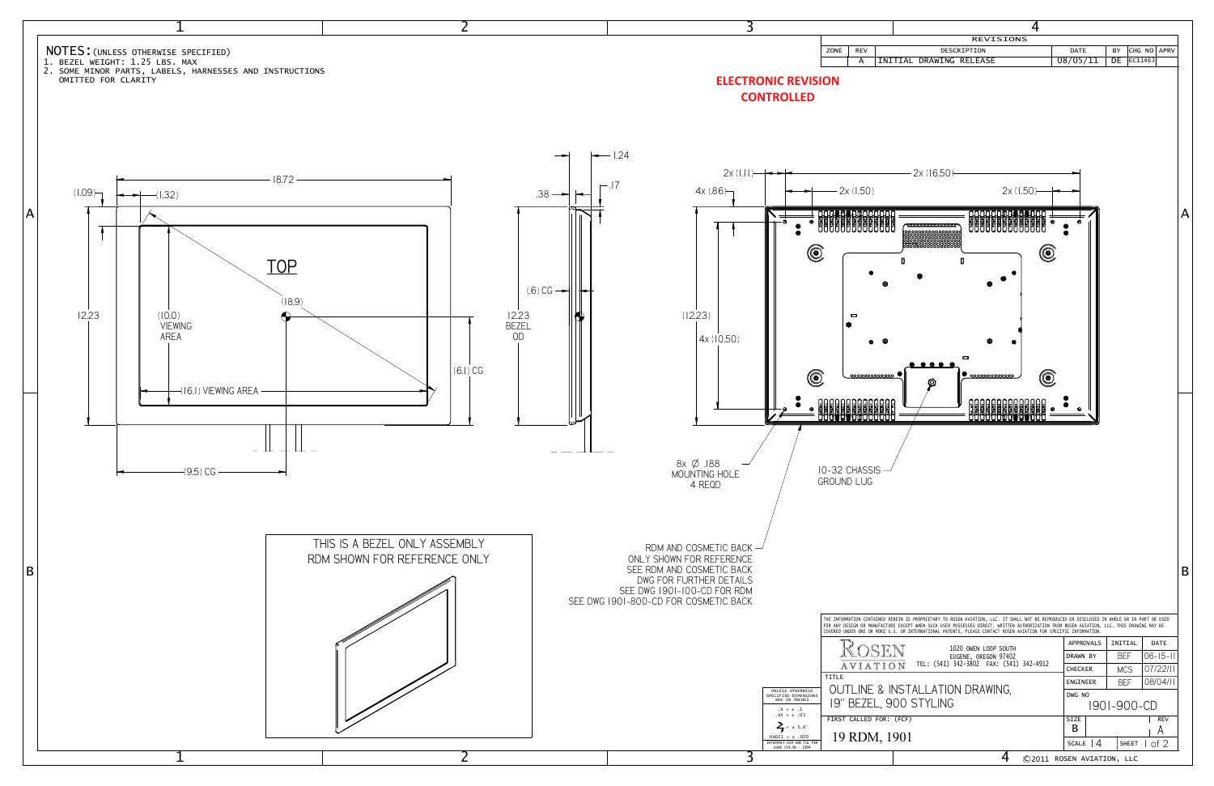

|                                                                                                                                                                                                                                                                                                                                                                                                                                                                                         |                            |                                                                                                                                         | 4         |                           |            |                   |                 |   |
|-----------------------------------------------------------------------------------------------------------------------------------------------------------------------------------------------------------------------------------------------------------------------------------------------------------------------------------------------------------------------------------------------------------------------------------------------------------------------------------------|----------------------------|-----------------------------------------------------------------------------------------------------------------------------------------|-----------|---------------------------|------------|-------------------|-----------------|---|
|                                                                                                                                                                                                                                                                                                                                                                                                                                                                                         | <b>REV</b>                 | REVISIONS<br>DESCRIPTION                                                                                                                |           | DATE                      |            |                   | <b>APRV</b>     |   |
| ZONE                                                                                                                                                                                                                                                                                                                                                                                                                                                                                    | А                          | INITIAL<br>DRAWING RELEASE                                                                                                              |           | 08/05/11                  | ΒY<br>DE   | CHG NO<br>EC11463 |                 |   |
| ΟN                                                                                                                                                                                                                                                                                                                                                                                                                                                                                      |                            | 2x (16.50)                                                                                                                              |           |                           |            |                   |                 |   |
|                                                                                                                                                                                                                                                                                                                                                                                                                                                                                         | 2x (1.50)                  | 2x (1.50)                                                                                                                               |           |                           |            |                   |                 |   |
| 00<br>111                                                                                                                                                                                                                                                                                                                                                                                                                                                                               | Ξ<br>000000000000          | <b>DARA BA</b><br>DI BADA<br>DI BADA<br><b>BRASHARA</b><br>LIPPEREER<br><b>°°°°°°°°°°°°</b> °°°°°°°<br>D<br>П<br>ᆷ<br>⊕<br>000000000000 | $\bullet$ | o<br>٠                    |            |                   |                 | A |
|                                                                                                                                                                                                                                                                                                                                                                                                                                                                                         | 0-32 CHASSIS-<br>ROUND LUG |                                                                                                                                         | Θ         | 0                         |            |                   |                 | B |
| THE INFORMATION CONTAINED HEREIN IS PROPRIETARY TO ROSEN AVIATION, LLC. IT SHALL NOT BE REPRODUCED OR DISCLOSED IN WHOLE OR IN PART OR USED<br>FOR ANY DESIGN OR MANUFACTURE EXCEPT WHEN SUCH USER POSSESSES DIRECT, WRITTEN AUTHORIZATION FROM ROSEN AVIATION, LLC. THIS DRAWING MAY BE<br>COVERED UNDER ONE OR MORE U.S. OR INTERNATIONAL PATENTS, PLEASE CONTACT ROSEN AVIATION FOR SPECIFIC INFORMATION.<br><b>APPROVALS</b><br>INITIAL<br>DATE<br>1020 OWEN LOOP SOUTH<br>$\sum$ F |                            |                                                                                                                                         |           |                           |            |                   |                 |   |
|                                                                                                                                                                                                                                                                                                                                                                                                                                                                                         |                            | EUGENE, OREGON 97402<br>TEL: (541) 342-3802 FAX: (541) 342-4912                                                                         |           | DRAWN BY                  | <b>BEF</b> |                   | $06 - 15 - 11$  |   |
| <b>TITLE</b>                                                                                                                                                                                                                                                                                                                                                                                                                                                                            |                            | <b>AVIATION</b>                                                                                                                         |           | <b>CHECKER</b>            | <b>MCS</b> |                   | 07/22/11        |   |
|                                                                                                                                                                                                                                                                                                                                                                                                                                                                                         |                            | OUTLINE & INSTALLATION DRAWING,<br>19" BEZEL, 900 STYLING                                                                               |           | ENGINEER<br>DWG NO        | BEF        | 1901-900-CD       | 08/04/11        |   |
|                                                                                                                                                                                                                                                                                                                                                                                                                                                                                         |                            | FIRST CALLED FOR: (FCF)                                                                                                                 |           | <b>SIZE</b>               |            |                   | <b>REV</b>      |   |
|                                                                                                                                                                                                                                                                                                                                                                                                                                                                                         |                            | 19 RDM, 1901                                                                                                                            |           | в<br>SCALE $\vert A$      |            | SHEET             | А<br>$1$ of $2$ |   |
|                                                                                                                                                                                                                                                                                                                                                                                                                                                                                         |                            | 4                                                                                                                                       |           | ©2011 ROSEN AVIATION, LLC |            |                   |                 |   |
|                                                                                                                                                                                                                                                                                                                                                                                                                                                                                         |                            |                                                                                                                                         |           |                           |            |                   |                 |   |